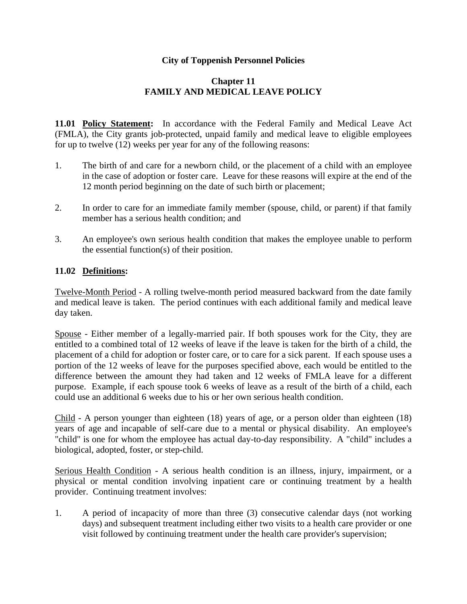## **City of Toppenish Personnel Policies**

## **Chapter 11 FAMILY AND MEDICAL LEAVE POLICY**

**11.01 Policy Statement:** In accordance with the Federal Family and Medical Leave Act (FMLA), the City grants job-protected, unpaid family and medical leave to eligible employees for up to twelve (12) weeks per year for any of the following reasons:

- 1. The birth of and care for a newborn child, or the placement of a child with an employee in the case of adoption or foster care. Leave for these reasons will expire at the end of the 12 month period beginning on the date of such birth or placement;
- 2. In order to care for an immediate family member (spouse, child, or parent) if that family member has a serious health condition; and
- 3. An employee's own serious health condition that makes the employee unable to perform the essential function(s) of their position.

## **11.02 Definitions:**

Twelve-Month Period - A rolling twelve-month period measured backward from the date family and medical leave is taken. The period continues with each additional family and medical leave day taken.

Spouse - Either member of a legally-married pair. If both spouses work for the City, they are entitled to a combined total of 12 weeks of leave if the leave is taken for the birth of a child, the placement of a child for adoption or foster care, or to care for a sick parent. If each spouse uses a portion of the 12 weeks of leave for the purposes specified above, each would be entitled to the difference between the amount they had taken and 12 weeks of FMLA leave for a different purpose. Example, if each spouse took 6 weeks of leave as a result of the birth of a child, each could use an additional 6 weeks due to his or her own serious health condition.

Child - A person younger than eighteen (18) years of age, or a person older than eighteen (18) years of age and incapable of self-care due to a mental or physical disability. An employee's "child" is one for whom the employee has actual day-to-day responsibility. A "child" includes a biological, adopted, foster, or step-child.

Serious Health Condition - A serious health condition is an illness, injury, impairment, or a physical or mental condition involving inpatient care or continuing treatment by a health provider. Continuing treatment involves:

1. A period of incapacity of more than three (3) consecutive calendar days (not working days) and subsequent treatment including either two visits to a health care provider or one visit followed by continuing treatment under the health care provider's supervision;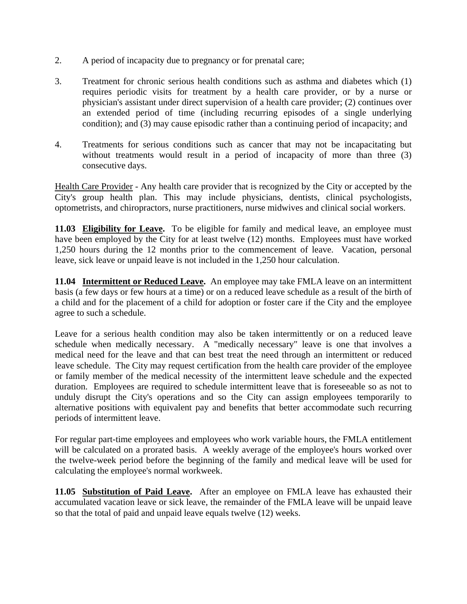- 2. A period of incapacity due to pregnancy or for prenatal care;
- 3. Treatment for chronic serious health conditions such as asthma and diabetes which (1) requires periodic visits for treatment by a health care provider, or by a nurse or physician's assistant under direct supervision of a health care provider; (2) continues over an extended period of time (including recurring episodes of a single underlying condition); and (3) may cause episodic rather than a continuing period of incapacity; and
- 4. Treatments for serious conditions such as cancer that may not be incapacitating but without treatments would result in a period of incapacity of more than three (3) consecutive days.

Health Care Provider - Any health care provider that is recognized by the City or accepted by the City's group health plan. This may include physicians, dentists, clinical psychologists, optometrists, and chiropractors, nurse practitioners, nurse midwives and clinical social workers.

**11.03 Eligibility for Leave.** To be eligible for family and medical leave, an employee must have been employed by the City for at least twelve (12) months. Employees must have worked 1,250 hours during the 12 months prior to the commencement of leave. Vacation, personal leave, sick leave or unpaid leave is not included in the 1,250 hour calculation.

**11.04 Intermittent or Reduced Leave.** An employee may take FMLA leave on an intermittent basis (a few days or few hours at a time) or on a reduced leave schedule as a result of the birth of a child and for the placement of a child for adoption or foster care if the City and the employee agree to such a schedule.

Leave for a serious health condition may also be taken intermittently or on a reduced leave schedule when medically necessary. A "medically necessary" leave is one that involves a medical need for the leave and that can best treat the need through an intermittent or reduced leave schedule. The City may request certification from the health care provider of the employee or family member of the medical necessity of the intermittent leave schedule and the expected duration. Employees are required to schedule intermittent leave that is foreseeable so as not to unduly disrupt the City's operations and so the City can assign employees temporarily to alternative positions with equivalent pay and benefits that better accommodate such recurring periods of intermittent leave.

For regular part-time employees and employees who work variable hours, the FMLA entitlement will be calculated on a prorated basis. A weekly average of the employee's hours worked over the twelve-week period before the beginning of the family and medical leave will be used for calculating the employee's normal workweek.

**11.05 Substitution of Paid Leave.** After an employee on FMLA leave has exhausted their accumulated vacation leave or sick leave, the remainder of the FMLA leave will be unpaid leave so that the total of paid and unpaid leave equals twelve (12) weeks.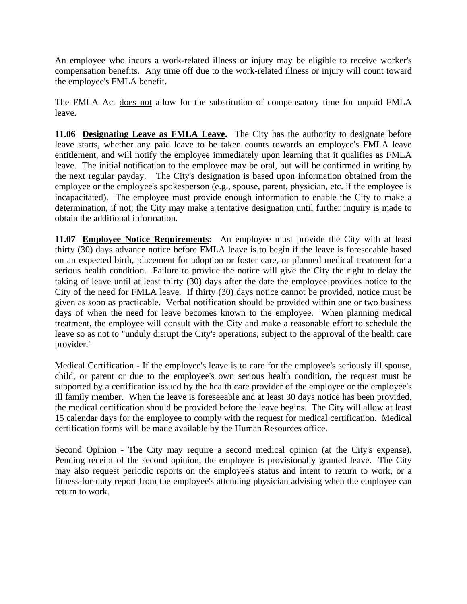An employee who incurs a work-related illness or injury may be eligible to receive worker's compensation benefits. Any time off due to the work-related illness or injury will count toward the employee's FMLA benefit.

The FMLA Act does not allow for the substitution of compensatory time for unpaid FMLA leave.

**11.06 Designating Leave as FMLA Leave.** The City has the authority to designate before leave starts, whether any paid leave to be taken counts towards an employee's FMLA leave entitlement, and will notify the employee immediately upon learning that it qualifies as FMLA leave. The initial notification to the employee may be oral, but will be confirmed in writing by the next regular payday. The City's designation is based upon information obtained from the employee or the employee's spokesperson (e.g., spouse, parent, physician, etc. if the employee is incapacitated). The employee must provide enough information to enable the City to make a determination, if not; the City may make a tentative designation until further inquiry is made to obtain the additional information.

**11.07 Employee Notice Requirements:** An employee must provide the City with at least thirty (30) days advance notice before FMLA leave is to begin if the leave is foreseeable based on an expected birth, placement for adoption or foster care, or planned medical treatment for a serious health condition. Failure to provide the notice will give the City the right to delay the taking of leave until at least thirty (30) days after the date the employee provides notice to the City of the need for FMLA leave. If thirty (30) days notice cannot be provided, notice must be given as soon as practicable. Verbal notification should be provided within one or two business days of when the need for leave becomes known to the employee. When planning medical treatment, the employee will consult with the City and make a reasonable effort to schedule the leave so as not to "unduly disrupt the City's operations, subject to the approval of the health care provider."

Medical Certification - If the employee's leave is to care for the employee's seriously ill spouse, child, or parent or due to the employee's own serious health condition, the request must be supported by a certification issued by the health care provider of the employee or the employee's ill family member. When the leave is foreseeable and at least 30 days notice has been provided, the medical certification should be provided before the leave begins. The City will allow at least 15 calendar days for the employee to comply with the request for medical certification. Medical certification forms will be made available by the Human Resources office.

Second Opinion - The City may require a second medical opinion (at the City's expense). Pending receipt of the second opinion, the employee is provisionally granted leave. The City may also request periodic reports on the employee's status and intent to return to work, or a fitness-for-duty report from the employee's attending physician advising when the employee can return to work.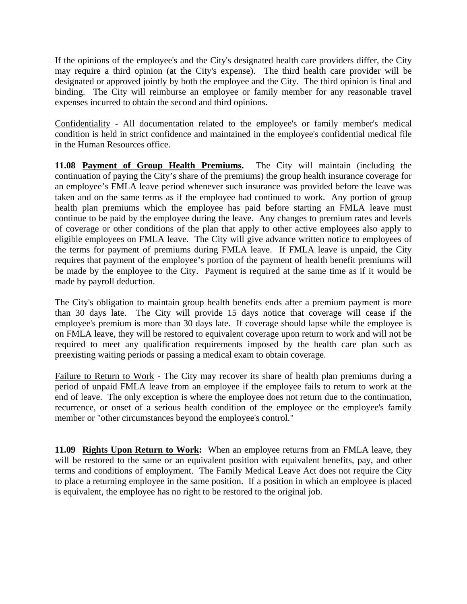If the opinions of the employee's and the City's designated health care providers differ, the City may require a third opinion (at the City's expense). The third health care provider will be designated or approved jointly by both the employee and the City. The third opinion is final and binding. The City will reimburse an employee or family member for any reasonable travel expenses incurred to obtain the second and third opinions.

Confidentiality - All documentation related to the employee's or family member's medical condition is held in strict confidence and maintained in the employee's confidential medical file in the Human Resources office.

**11.08 Payment of Group Health Premiums.** The City will maintain (including the continuation of paying the City's share of the premiums) the group health insurance coverage for an employee's FMLA leave period whenever such insurance was provided before the leave was taken and on the same terms as if the employee had continued to work. Any portion of group health plan premiums which the employee has paid before starting an FMLA leave must continue to be paid by the employee during the leave. Any changes to premium rates and levels of coverage or other conditions of the plan that apply to other active employees also apply to eligible employees on FMLA leave. The City will give advance written notice to employees of the terms for payment of premiums during FMLA leave. If FMLA leave is unpaid, the City requires that payment of the employee's portion of the payment of health benefit premiums will be made by the employee to the City. Payment is required at the same time as if it would be made by payroll deduction.

The City's obligation to maintain group health benefits ends after a premium payment is more than 30 days late. The City will provide 15 days notice that coverage will cease if the employee's premium is more than 30 days late. If coverage should lapse while the employee is on FMLA leave, they will be restored to equivalent coverage upon return to work and will not be required to meet any qualification requirements imposed by the health care plan such as preexisting waiting periods or passing a medical exam to obtain coverage.

Failure to Return to Work - The City may recover its share of health plan premiums during a period of unpaid FMLA leave from an employee if the employee fails to return to work at the end of leave. The only exception is where the employee does not return due to the continuation, recurrence, or onset of a serious health condition of the employee or the employee's family member or "other circumstances beyond the employee's control."

**11.09 Rights Upon Return to Work:** When an employee returns from an FMLA leave, they will be restored to the same or an equivalent position with equivalent benefits, pay, and other terms and conditions of employment. The Family Medical Leave Act does not require the City to place a returning employee in the same position. If a position in which an employee is placed is equivalent, the employee has no right to be restored to the original job.